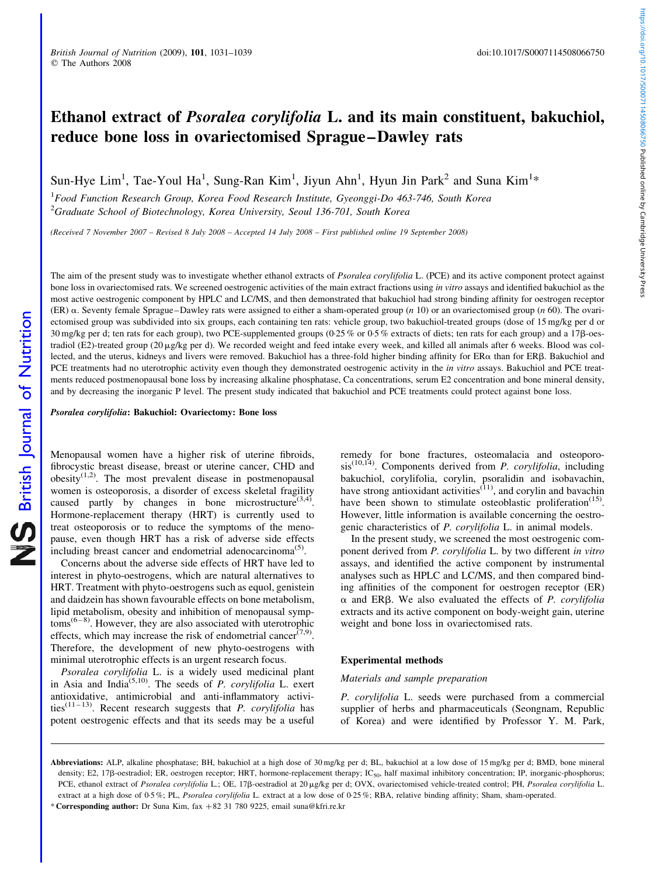# Ethanol extract of Psoralea corylifolia L. and its main constituent, bakuchiol, reduce bone loss in ovariectomised Sprague –Dawley rats

Sun-Hye Lim<sup>1</sup>, Tae-Youl Ha<sup>1</sup>, Sung-Ran Kim<sup>1</sup>, Jiyun Ahn<sup>1</sup>, Hyun Jin Park<sup>2</sup> and Suna Kim<sup>1</sup>\*

 $1$ Food Function Research Group, Korea Food Research Institute, Gyeonggi-Do 463-746, South Korea  $^{2}$ Graduate School of Biotechnology, Korea University, Seoul 136-701, South Korea

(Received 7 November 2007 – Revised 8 July 2008 – Accepted 14 July 2008 – First published online 19 September 2008)

The aim of the present study was to investigate whether ethanol extracts of *Psoralea corylifolia* L. (PCE) and its active component protect against bone loss in ovariectomised rats. We screened oestrogenic activities of the main extract fractions using in vitro assays and identified bakuchiol as the most active oestrogenic component by HPLC and LC/MS, and then demonstrated that bakuchiol had strong binding affinity for oestrogen receptor (ER)  $\alpha$ . Seventy female Sprague–Dawley rats were assigned to either a sham-operated group (n 10) or an ovariectomised group (n 60). The ovariectomised group was subdivided into six groups, each containing ten rats: vehicle group, two bakuchiol-treated groups (dose of 15 mg/kg per d or 30 mg/kg per d; ten rats for each group), two PCE-supplemented groups (0·25 % or 0·5 % extracts of diets; ten rats for each group) and a 17b-oestradiol (E2)-treated group (20 mg/kg per d). We recorded weight and feed intake every week, and killed all animals after 6 weeks. Blood was collected, and the uterus, kidneys and livers were removed. Bakuchiol has a three-fold higher binding affinity for  $ER\alpha$  than for  $ER\beta$ . Bakuchiol and PCE treatments had no uterotrophic activity even though they demonstrated oestrogenic activity in the *in vitro* assays. Bakuchiol and PCE treatments reduced postmenopausal bone loss by increasing alkaline phosphatase, Ca concentrations, serum E2 concentration and bone mineral density, and by decreasing the inorganic P level. The present study indicated that bakuchiol and PCE treatments could protect against bone loss.

Psoralea corylifolia: Bakuchiol: Ovariectomy: Bone loss

Menopausal women have a higher risk of uterine fibroids, fibrocystic breast disease, breast or uterine cancer, CHD and  $obsity$ <sup>(1,2)</sup>. The most prevalent disease in postmenopausal women is osteoporosis, a disorder of excess skeletal fragility caused partly by changes in bone microstructure<sup>(3,4)</sup>. Hormone-replacement therapy (HRT) is currently used to treat osteoporosis or to reduce the symptoms of the menopause, even though HRT has a risk of adverse side effects including breast cancer and endometrial adenocarcinoma<sup>(5)</sup>.

Concerns about the adverse side effects of HRT have led to interest in phyto-oestrogens, which are natural alternatives to HRT. Treatment with phyto-oestrogens such as equol, genistein and daidzein has shown favourable effects on bone metabolism, lipid metabolism, obesity and inhibition of menopausal symp $toms<sup>(6-8)</sup>$ . However, they are also associated with uterotrophic effects, which may increase the risk of endometrial cancer<sup> $(7,9)$ </sup>. Therefore, the development of new phyto-oestrogens with minimal uterotrophic effects is an urgent research focus.

Psoralea corylifolia L. is a widely used medicinal plant in Asia and India<sup> $(5,10)$ </sup>. The seeds of *P. corylifolia* L. exert antioxidative, antimicrobial and anti-inflammatory activities<sup>(11-13)</sup>. Recent research suggests that P. corylifolia has potent oestrogenic effects and that its seeds may be a useful remedy for bone fractures, osteomalacia and osteoporo $sis^{(10,14)}$ . Components derived from *P. corylifolia*, including bakuchiol, corylifolia, corylin, psoralidin and isobavachin, have strong antioxidant activities<sup> $(11)$ </sup>, and corylin and bavachin have been shown to stimulate osteoblastic proliferation<sup> $(15)$ </sup>. However, little information is available concerning the oestrogenic characteristics of P. corylifolia L. in animal models.

In the present study, we screened the most oestrogenic component derived from P. corylifolia L. by two different in vitro assays, and identified the active component by instrumental analyses such as HPLC and LC/MS, and then compared binding affinities of the component for oestrogen receptor (ER)  $\alpha$  and ERB. We also evaluated the effects of *P. corvitfolia* extracts and its active component on body-weight gain, uterine weight and bone loss in ovariectomised rats.

#### Experimental methods

#### Materials and sample preparation

P. corylifolia L. seeds were purchased from a commercial supplier of herbs and pharmaceuticals (Seongnam, Republic of Korea) and were identified by Professor Y. M. Park,

<sup>\*</sup> Corresponding author: Dr Suna Kim, fax  $+82$  31 780 9225, email suna@kfri.re.kr Abbreviations: ALP, alkaline phosphatase; BH, bakuchiol at a high dose of 30 mg/kg per d; BL, bakuchiol at a low dose of 15 mg/kg per d; BMD, bone mineral density; E2, 17 $\beta$ -oestradiol; ER, oestrogen receptor; HRT, hormone-replacement therapy; IC<sub>50</sub>, half maximal inhibitory concentration; IP, inorganic-phosphorus; PCE, ethanol extract of Psoralea corylifolia L.; OE, 17ß-oestradiol at 20 µg/kg per d; OVX, ovariectomised vehicle-treated control; PH, Psoralea corvlifolia L. extract at a high dose of 0.5%; PL, Psoralea corylifolia L. extract at a low dose of 0.25%; RBA, relative binding affinity; Sham, sham-operated.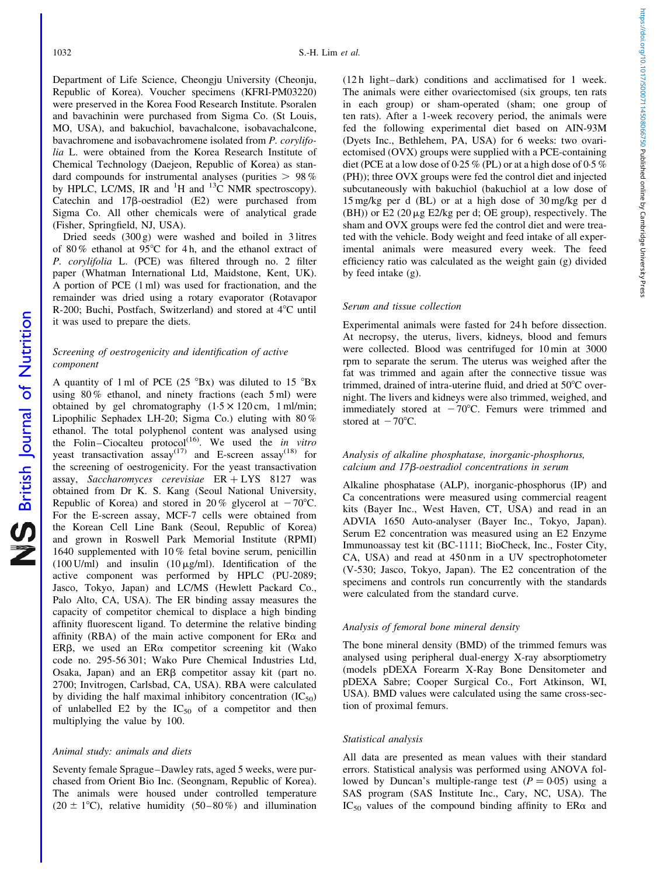Department of Life Science, Cheongju University (Cheonju, Republic of Korea). Voucher specimens (KFRI-PM03220) were preserved in the Korea Food Research Institute. Psoralen and bavachinin were purchased from Sigma Co. (St Louis, MO, USA), and bakuchiol, bavachalcone, isobavachalcone, bavachromene and isobavachromene isolated from P. corylifolia L. were obtained from the Korea Research Institute of Chemical Technology (Daejeon, Republic of Korea) as standard compounds for instrumental analyses (purities  $> 98\%$ by HPLC, LC/MS, IR and  ${}^{1}H$  and  ${}^{13}C$  NMR spectroscopy). Catechin and 17b-oestradiol (E2) were purchased from Sigma Co. All other chemicals were of analytical grade (Fisher, Springfield, NJ, USA).

Dried seeds (300 g) were washed and boiled in 3 litres of 80 % ethanol at 95 $\degree$ C for 4 h, and the ethanol extract of P. corylifolia L. (PCE) was filtered through no. 2 filter paper (Whatman International Ltd, Maidstone, Kent, UK). A portion of PCE (1 ml) was used for fractionation, and the remainder was dried using a rotary evaporator (Rotavapor R-200; Buchi, Postfach, Switzerland) and stored at 4°C until it was used to prepare the diets.

### Screening of oestrogenicity and identification of active component

A quantity of 1 ml of PCE (25 $\degree$ Bx) was diluted to 15 $\degree$ Bx using 80 % ethanol, and ninety fractions (each 5 ml) were obtained by gel chromatography  $(1.5 \times 120 \text{ cm}, 1 \text{ ml/min})$ ; Lipophilic Sephadex LH-20; Sigma Co.) eluting with 80 % ethanol. The total polyphenol content was analysed using the Folin-Ciocalteu protocol<sup>(16)</sup>. We used the in vitro yeast transactivation  $\operatorname{assay}^{(17)}$  and E-screen assay<sup>(18)</sup> for the screening of oestrogenicity. For the yeast transactivation assay, Saccharomyces cerevisiae  $ER + LYS$  8127 was obtained from Dr K. S. Kang (Seoul National University, Republic of Korea) and stored in 20% glycerol at  $-70^{\circ}$ C. For the E-screen assay, MCF-7 cells were obtained from the Korean Cell Line Bank (Seoul, Republic of Korea) and grown in Roswell Park Memorial Institute (RPMI) 1640 supplemented with 10 % fetal bovine serum, penicillin (100 U/ml) and insulin (10  $\mu$ g/ml). Identification of the active component was performed by HPLC (PU-2089; Jasco, Tokyo, Japan) and LC/MS (Hewlett Packard Co., Palo Alto, CA, USA). The ER binding assay measures the capacity of competitor chemical to displace a high binding affinity fluorescent ligand. To determine the relative binding affinity (RBA) of the main active component for  $ER\alpha$  and ERB, we used an ER $\alpha$  competitor screening kit (Wako code no. 295-56 301; Wako Pure Chemical Industries Ltd, Osaka, Japan) and an ERB competitor assay kit (part no. 2700; Invitrogen, Carlsbad, CA, USA). RBA were calculated by dividing the half maximal inhibitory concentration  $(IC_{50})$ of unlabelled E2 by the  $IC_{50}$  of a competitor and then multiplying the value by 100.

#### Animal study: animals and diets

Seventy female Sprague–Dawley rats, aged 5 weeks, were purchased from Orient Bio Inc. (Seongnam, Republic of Korea). The animals were housed under controlled temperature (20  $\pm$  1<sup>o</sup>C), relative humidity (50–80 %) and illumination

(12 h light– dark) conditions and acclimatised for 1 week. The animals were either ovariectomised (six groups, ten rats in each group) or sham-operated (sham; one group of ten rats). After a 1-week recovery period, the animals were fed the following experimental diet based on AIN-93M (Dyets Inc., Bethlehem, PA, USA) for 6 weeks: two ovariectomised (OVX) groups were supplied with a PCE-containing diet (PCE at a low dose of 0·25 % (PL) or at a high dose of 0·5 % (PH)); three OVX groups were fed the control diet and injected subcutaneously with bakuchiol (bakuchiol at a low dose of 15 mg/kg per d (BL) or at a high dose of 30 mg/kg per d (BH)) or E2 (20  $\mu$ g E2/kg per d; OE group), respectively. The sham and OVX groups were fed the control diet and were treated with the vehicle. Body weight and feed intake of all experimental animals were measured every week. The feed efficiency ratio was calculated as the weight gain (g) divided by feed intake (g).

#### Serum and tissue collection

Experimental animals were fasted for 24 h before dissection. At necropsy, the uterus, livers, kidneys, blood and femurs were collected. Blood was centrifuged for 10 min at 3000 rpm to separate the serum. The uterus was weighed after the fat was trimmed and again after the connective tissue was trimmed, drained of intra-uterine fluid, and dried at  $50^{\circ}$ C overnight. The livers and kidneys were also trimmed, weighed, and immediately stored at  $-70^{\circ}$ C. Femurs were trimmed and stored at  $-70^{\circ}$ C.

# Analysis of alkaline phosphatase, inorganic-phosphorus, calcium and 17b-oestradiol concentrations in serum

Alkaline phosphatase (ALP), inorganic-phosphorus (IP) and Ca concentrations were measured using commercial reagent kits (Bayer Inc., West Haven, CT, USA) and read in an ADVIA 1650 Auto-analyser (Bayer Inc., Tokyo, Japan). Serum E2 concentration was measured using an E2 Enzyme Immunoassay test kit (BC-1111; BioCheck, Inc., Foster City, CA, USA) and read at 450 nm in a UV spectrophotometer (V-530; Jasco, Tokyo, Japan). The E2 concentration of the specimens and controls run concurrently with the standards were calculated from the standard curve.

# Analysis of femoral bone mineral density

The bone mineral density (BMD) of the trimmed femurs was analysed using peripheral dual-energy X-ray absorptiometry (models pDEXA Forearm X-Ray Bone Densitometer and pDEXA Sabre; Cooper Surgical Co., Fort Atkinson, WI, USA). BMD values were calculated using the same cross-section of proximal femurs.

#### Statistical analysis

All data are presented as mean values with their standard errors. Statistical analysis was performed using ANOVA followed by Duncan's multiple-range test  $(P = 0.05)$  using a SAS program (SAS Institute Inc., Cary, NC, USA). The IC<sub>50</sub> values of the compound binding affinity to  $ER\alpha$  and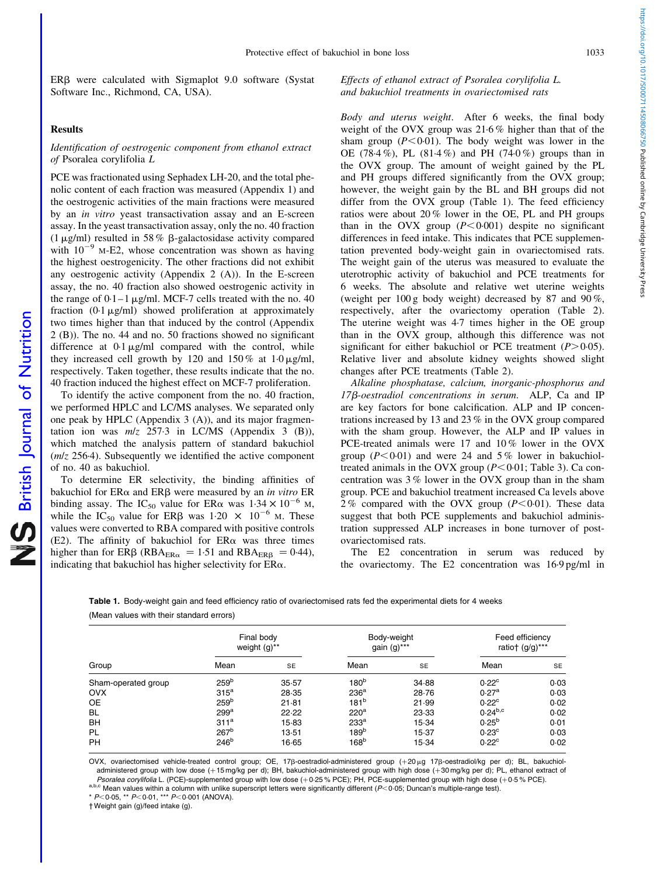$ER\beta$  were calculated with Sigmaplot 9.0 software (Systat Software Inc., Richmond, CA, USA).

# Results

# Identification of oestrogenic component from ethanol extract of Psoralea corylifolia L

PCE was fractionated using Sephadex LH-20, and the total phenolic content of each fraction was measured (Appendix 1) and the oestrogenic activities of the main fractions were measured by an in vitro yeast transactivation assay and an E-screen assay. In the yeast transactivation assay, only the no. 40 fraction (1  $\mu$ g/ml) resulted in 58 % B-galactosidase activity compared with  $10^{-9}$  M-E2, whose concentration was shown as having the highest oestrogenicity. The other fractions did not exhibit any oestrogenic activity (Appendix 2 (A)). In the E-screen assay, the no. 40 fraction also showed oestrogenic activity in the range of  $0.1 - 1 \mu g/ml$ . MCF-7 cells treated with the no. 40 fraction  $(0.1 \mu g/ml)$  showed proliferation at approximately two times higher than that induced by the control (Appendix 2 (B)). The no. 44 and no. 50 fractions showed no significant difference at  $0.1 \mu g/ml$  compared with the control, while they increased cell growth by 120 and  $150\%$  at  $1.0 \mu$ g/ml, respectively. Taken together, these results indicate that the no. 40 fraction induced the highest effect on MCF-7 proliferation.

To identify the active component from the no. 40 fraction, we performed HPLC and LC/MS analyses. We separated only one peak by HPLC (Appendix 3 (A)), and its major fragmentation ion was  $m/z$  257.3 in LC/MS (Appendix 3 (B)), which matched the analysis pattern of standard bakuchiol  $(m/z 256.4)$ . Subsequently we identified the active component of no. 40 as bakuchiol.

To determine ER selectivity, the binding affinities of bakuchiol for  $ER\alpha$  and  $ER\beta$  were measured by an *in vitro* ER binding assay. The IC<sub>50</sub> value for ER $\alpha$  was  $1.34 \times 10^{-6}$  M, while the IC<sub>50</sub> value for ER<sub>B</sub> was 1.20  $\times$  10<sup>-6</sup> M. These values were converted to RBA compared with positive controls (E2). The affinity of bakuchiol for  $ER\alpha$  was three times higher than for ER $\beta$  (RBA<sub>ER $\alpha$ </sub> = 1.51 and RBA<sub>ER $\beta$ </sub> = 0.44), indicating that bakuchiol has higher selectivity for  $ER\alpha$ .

# Effects of ethanol extract of Psoralea corylifolia L. and bakuchiol treatments in ovariectomised rats

Body and uterus weight. After 6 weeks, the final body weight of the OVX group was 21·6 % higher than that of the sham group  $(P<0.01)$ . The body weight was lower in the OE (78.4%), PL (81.4%) and PH (74.0%) groups than in the OVX group. The amount of weight gained by the PL and PH groups differed significantly from the OVX group; however, the weight gain by the BL and BH groups did not differ from the OVX group (Table 1). The feed efficiency ratios were about 20 % lower in the OE, PL and PH groups than in the OVX group  $(P<0.001)$  despite no significant differences in feed intake. This indicates that PCE supplementation prevented body-weight gain in ovariectomised rats. The weight gain of the uterus was measured to evaluate the uterotrophic activity of bakuchiol and PCE treatments for 6 weeks. The absolute and relative wet uterine weights (weight per  $100 g$  body weight) decreased by 87 and  $90\%$ , respectively, after the ovariectomy operation ([Table 2](#page-3-0)). The uterine weight was 4·7 times higher in the OE group than in the OVX group, although this difference was not significant for either bakuchiol or PCE treatment  $(P>0.05)$ . Relative liver and absolute kidney weights showed slight changes after PCE treatments [\(Table 2\)](#page-3-0).

Alkaline phosphatase, calcium, inorganic-phosphorus and 17b-oestradiol concentrations in serum. ALP, Ca and IP are key factors for bone calcification. ALP and IP concentrations increased by 13 and 23 % in the OVX group compared with the sham group. However, the ALP and IP values in PCE-treated animals were 17 and 10 % lower in the OVX group ( $P < 0.01$ ) and were 24 and 5% lower in bakuchioltreated animals in the OVX group  $(P<0.01$ ; [Table 3\)](#page-3-0). Ca concentration was 3 % lower in the OVX group than in the sham group. PCE and bakuchiol treatment increased Ca levels above 2% compared with the OVX group  $(P<0.01)$ . These data suggest that both PCE supplements and bakuchiol administration suppressed ALP increases in bone turnover of postovariectomised rats.

The E2 concentration in serum was reduced by the ovariectomy. The E2 concentration was 16·9 pg/ml in

> Feed efficiency ratio† (g/g)\*\*\*

Table 1. Body-weight gain and feed efficiency ratio of ovariectomised rats fed the experimental diets for 4 weeks (Mean values with their standard errors)

Final body weight (g)\*

| <b>BH</b>                                                                                                                                                 | 311 <sup>a</sup> | 15-83 | 233 <sup>a</sup> | 15.34 | $0.25^{b}$        | 0.01 |
|-----------------------------------------------------------------------------------------------------------------------------------------------------------|------------------|-------|------------------|-------|-------------------|------|
| - PL                                                                                                                                                      | 267 <sup>b</sup> | 13.51 | 189 <sup>b</sup> | 15.37 | 0.23 <sup>c</sup> | 0.03 |
| <b>PH</b>                                                                                                                                                 | 246 <sup>b</sup> | 16.65 | 168 <sup>b</sup> | 15.34 | $0.22^{\circ}$    | 0.02 |
| OVX, ovariectomised vehicle-treated control group; OE, 17 $\beta$ -oestradiol-administered group (+20 µg 17 $\beta$ -oestradiol/kg per d); BL, bakuchiol- |                  |       |                  |       |                   |      |
| administered group with low dose (+15 mg/kg per d); BH, bakuchiol-administered group with high dose (+30 mg/kg per d); PL, ethanol extract of             |                  |       |                  |       |                   |      |

Group Mean SE Mean SE Mean SE  $\text{Sham-operated group}$ <br>  $\text{C} \times \text{C} \times \text{C} \times \text{C} \times \text{C} \times \text{D} \times \text{D} \times \text{D} \times \text{D} \times \text{D} \times \text{D} \times \text{D} \times \text{D} \times \text{D} \times \text{D} \times \text{D} \times \text{D} \times \text{D} \times \text{D} \times \text{D} \times \text{D} \times \text{D} \times \text{D} \times \text{D} \times \text{D} \times \text{D} \times \text{D} \times \text{D} \times \text{D} \times \text$  $\rm OVX$  315a  $\rm 315^a$  28 $\rm 35$   $\rm 236^a$  28 $\rm 76$   $\rm 0.27^a$  0 $\rm 0.03$  $\rm{OE}$  259b  $259^{\rm{b}}$  21 $\rm{.81}$  181<sup>b</sup> 21 $\rm{.99}$   $\rm{0.22^{\circ}}$  0 $\rm{0.02}$ BL 299a 22·22 220a 23·33 0·24b,c 0·02

Body-weight gain (g)\*\*

administered group with low dose (+15 mg/kg per d); BH, bakuchiol-administered group with high dose (+30 mg/kg per d); PL, ethanol extract of<br>Psoralea corylifolia L. (PCE)-supplemented group with low dose (+0.25 % PCE); P

\*  $P<0.05$ , \*\*  $P<0.01$ , \*\*\*  $P<0.001$  (ANOVA).

† Weight gain (g)/feed intake (g).

British Journal of Nutrition

**NS** British Journal of Nutrition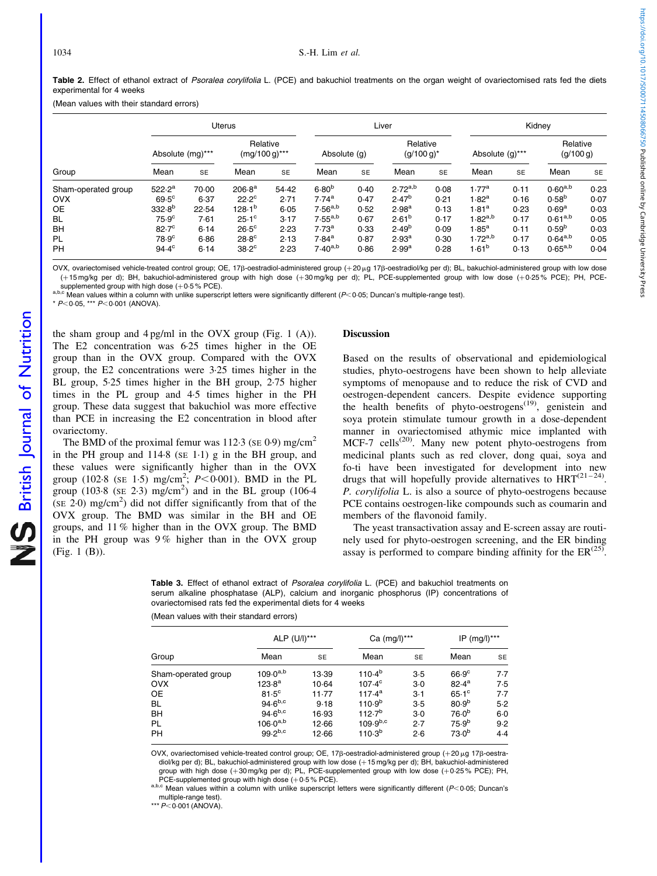<span id="page-3-0"></span>Table 2. Effect of ethanol extract of Psoralea corylifolia L. (PCE) and bakuchiol treatments on the organ weight of ovariectomised rats fed the diets experimental for 4 weeks

(Mean values with their standard errors)

|                     | Uterus            |           |                              | Liver |                     |      |                           | Kidney    |                   |           |                       |           |
|---------------------|-------------------|-----------|------------------------------|-------|---------------------|------|---------------------------|-----------|-------------------|-----------|-----------------------|-----------|
|                     | Absolute (mg)***  |           | Relative<br>$(mg/100 g)$ *** |       | Absolute (g)        |      | Relative<br>$(g/100 g)^*$ |           | Absolute (g)***   |           | Relative<br>(g/100 g) |           |
| Group               | Mean              | <b>SE</b> | Mean                         | SE    | Mean                | SE   | Mean                      | <b>SE</b> | Mean              | <b>SE</b> | Mean                  | <b>SE</b> |
| Sham-operated group | $522.2^a$         | 70.00     | $206.8^{\rm a}$              | 54.42 | $6.80^{b}$          | 0.40 | $2.72^{a,b}$              | 0.08      | 1.77 <sup>a</sup> | 0.11      | $0.60^{a,b}$          | 0.23      |
| <b>OVX</b>          | $69.5^{\circ}$    | 6.37      | $22.2^{\circ}$               | 2.71  | 7.74 <sup>a</sup>   | 0.47 | $2.47^{b}$                | 0.21      | 1.82 <sup>a</sup> | 0.16      | $0.58^{b}$            | 0.07      |
| OE                  | $332.8^{b}$       | 22.54     | $128.1^{b}$                  | 6.05  | $7.56^{a,b}$        | 0.52 | 2.98 <sup>a</sup>         | 0.13      | 1.81 <sup>a</sup> | 0.23      | 0.69 <sup>a</sup>     | 0.03      |
| <b>BL</b>           | $75.9^\circ$      | 7.61      | $25.1^{\circ}$               | 3.17  | $7.55^{a,b}$        | 0.67 | $2.61^{b}$                | 0.17      | $1.82^{a,b}$      | 0.17      | $0.61^{a,b}$          | 0.05      |
| <b>BH</b>           | $82.7^\circ$      | 6.14      | $26.5^{\circ}$               | 2.23  | 7.73 <sup>a</sup>   | 0.33 | $2.49^{b}$                | 0.09      | $1.85^{\rm a}$    | 0.11      | 0.59 <sup>b</sup>     | 0.03      |
| PL                  | 78.9 <sup>c</sup> | $6 - 86$  | $28.8^\circ$                 | 2.13  | $7.84$ <sup>a</sup> | 0.87 | 2.93 <sup>a</sup>         | 0.30      | $1.72^{a,b}$      | 0.17      | $0.64^{a,b}$          | 0.05      |
| <b>PH</b>           | $94.4^\circ$      | 6.14      | 38.2 <sup>c</sup>            | 2.23  | $7.40^{a,b}$        | 0.86 | 2.99 <sup>a</sup>         | 0.28      | 1.61 <sup>b</sup> | 0.13      | $0.65^{a,b}$          | 0.04      |

OVX, ovariectomised vehicle-treated control group; OE, 17 $\beta$ -oestradiol-administered group (+20 µg 17 $\beta$ -oestradiol/kg per d); BL, bakuchiol-administered group with low dose (+15 mg/kg per d); BH, bakuchiol-administered group with high dose (+30 mg/kg per d); PL, PCE-supplemented group with low dose (+0·25% PCE); PH, PCE-supplemented group with low dose (+0·25% PCE); PH, PCE-

a,b,c Mean values within a column with unlike superscript letters were significantly different ( $P < 0.05$ ; Duncan's multiple-range test).

\*  $P< 0.05$ , \*\*\*  $P< 0.001$  (ANOVA).

the sham group and 4 pg/ml in the OVX group [\(Fig. 1 \(A\)](#page-4-0)). The E2 concentration was 6·25 times higher in the OE group than in the OVX group. Compared with the OVX group, the E2 concentrations were 3·25 times higher in the BL group, 5·25 times higher in the BH group, 2·75 higher times in the PL group and 4·5 times higher in the PH group. These data suggest that bakuchiol was more effective than PCE in increasing the E2 concentration in blood after ovariectomy.

The BMD of the proximal femur was 112.3 (SE 0.9) mg/cm<sup>2</sup> in the PH group and  $114.8$  (se 1.1) g in the BH group, and these values were significantly higher than in the OVX group (102.8 (SE 1.5) mg/cm<sup>2</sup>;  $P < 0.001$ ). BMD in the PL group (103.8 ( $SE$  2.3) mg/cm<sup>2</sup>) and in the BL group (106.4)  $($ SE 2 $\cdot$ 0 $)$  mg/cm<sup>2</sup> $)$  did not differ significantly from that of the OVX group. The BMD was similar in the BH and OE groups, and 11 % higher than in the OVX group. The BMD in the PH group was  $9\%$  higher than in the OVX group [\(Fig. 1 \(B\)\)](#page-4-0).

# Discussion

Based on the results of observational and epidemiological studies, phyto-oestrogens have been shown to help alleviate symptoms of menopause and to reduce the risk of CVD and oestrogen-dependent cancers. Despite evidence supporting the health benefits of phyto-oestrogens<sup> $(19)$ </sup>, genistein and soya protein stimulate tumour growth in a dose-dependent manner in ovariectomised athymic mice implanted with  $MCF-7$  cells<sup>(20)</sup>. Many new potent phyto-oestrogens from medicinal plants such as red clover, dong quai, soya and fo-ti have been investigated for development into new drugs that will hopefully provide alternatives to  $HRT^{(21-24)}$ . P. corylifolia L. is also a source of phyto-oestrogens because PCE contains oestrogen-like compounds such as coumarin and members of the flavonoid family.

The yeast transactivation assay and E-screen assay are routinely used for phyto-oestrogen screening, and the ER binding assay is performed to compare binding affinity for the  $ER^{(25)}$ .

Table 3. Effect of ethanol extract of Psoralea corylifolia L. (PCE) and bakuchiol treatments on serum alkaline phosphatase (ALP), calcium and inorganic phosphorus (IP) concentrations of ovariectomised rats fed the experimental diets for 4 weeks

| (Mean values with their standard errors) |  |
|------------------------------------------|--|
|                                          |  |

|                     | ALP (U/I)***       |       | Ca (mg/l)***       |           | $IP (mg/l)$ ***   |         |  |
|---------------------|--------------------|-------|--------------------|-----------|-------------------|---------|--|
| Group               | Mean               | SE    | Mean               | <b>SE</b> | Mean              | SE      |  |
| Sham-operated group | $109\cdot 0^{a,b}$ | 13.39 | $110.4^{b}$        | 3.5       | $66.9^\circ$      | 7.7     |  |
| <b>OVX</b>          | $123.8^{\rm a}$    | 10.64 | $107.4^{\circ}$    | $3-0$     | $82.4^a$          | 7.5     |  |
| 0E                  | $81.5^\circ$       | 11.77 | $117.4^a$          | $3-1$     | $65.1^\circ$      | 7.7     |  |
| <b>BL</b>           | $94.6^{b,c}$       | 9.18  | 110.9 <sup>b</sup> | 3.5       | 80.9 <sup>b</sup> | 5.2     |  |
| <b>BH</b>           | $94.6^{b,c}$       | 16.93 | $112.7^{b}$        | $3-0$     | $76.0^{b}$        | $6 - 0$ |  |
| <b>PL</b>           | $106.0^{a,b}$      | 12.66 | $109.9^{b,c}$      | 2.7       | 75.9 <sup>b</sup> | 9.2     |  |
| <b>PH</b>           | $99.2^{b,c}$       | 12.66 | 110.3 <sup>b</sup> | 2.6       | 73.0 <sup>b</sup> | 4.4     |  |

OVX, ovariectomised vehicle-treated control group; OE, 17β-oestradiol-administered group (+20 μg 17β-oestradiol/kg per d); BL, bakuchiol-administered group with low dose (+15 mg/kg per d); BH, bakuchiol-administered group with high dose  $(+30 \text{ mg/kg}$  per d); PL, PCE-supplemented group with low dose  $(+0.25\%$  PCE); PH, PCE-supplemented group with high dose  $(+0.5\%$  PCE).<br>a,b,c Mean values within a column with unlike superscript letters were significantly different (P<0·05; Duncan's

multiple-range test).

\*\*\*  $P < 0.001$  (ANOVA).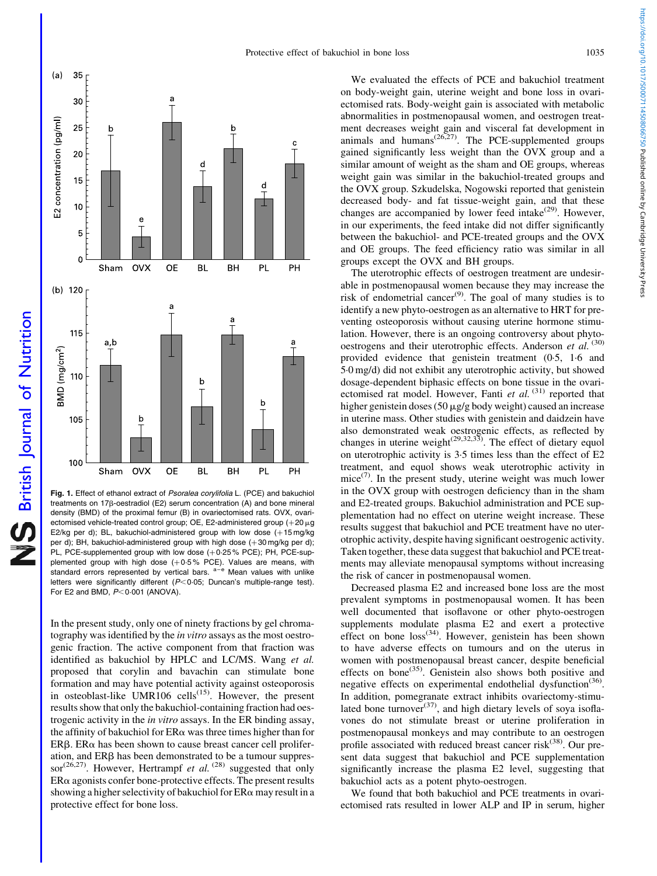https://doi.org/10.1017/S0007114508066750 Published online by Cambridge University Pres https://doi.org/10.1017/S0007114508066750 Published online by Cambridge University Press

<span id="page-4-0"></span>

Fig. 1. Effect of ethanol extract of Psoralea corylifolia L. (PCE) and bakuchiol treatments on 17b-oestradiol (E2) serum concentration (A) and bone mineral density (BMD) of the proximal femur (B) in ovariectomised rats. OVX, ovariectomised vehicle-treated control group; OE, E2-administered group  $(+20 \,\mu g)$ E2/kg per d); BL, bakuchiol-administered group with low dose  $(+15 \text{ mg/kg})$ per d); BH, bakuchiol-administered group with high dose  $(+30 \text{ ma/kg}$  per d); PL, PCE-supplemented group with low dose  $(+0.25\%$  PCE); PH, PCE-supplemented group with high dose  $(+0.5\%$  PCE). Values are means, with standard errors represented by vertical bars.  $a-e$  Mean values with unlike letters were significantly different  $(P<0.05;$  Duncan's multiple-range test). For E2 and BMD,  $P < 0.001$  (ANOVA).

In the present study, only one of ninety fractions by gel chromatography was identified by the in vitro assays as the most oestrogenic fraction. The active component from that fraction was identified as bakuchiol by HPLC and LC/MS. Wang et al. proposed that corylin and bavachin can stimulate bone formation and may have potential activity against osteoporosis in osteoblast-like UMR106 cells $^{(15)}$ . However, the present results show that only the bakuchiol-containing fraction had oestrogenic activity in the in vitro assays. In the ER binding assay, the affinity of bakuchiol for  $ER\alpha$  was three times higher than for  $ER\beta$ .  $ER\alpha$  has been shown to cause breast cancer cell proliferation, and ERB has been demonstrated to be a tumour suppressor<sup>(26,27)</sup>. However, Hertrampf *et al.* <sup>(28)</sup> suggested that only  $ER\alpha$  agonists confer bone-protective effects. The present results showing a higher selectivity of bakuchiol for  $ER\alpha$  may result in a protective effect for bone loss.

We evaluated the effects of PCE and bakuchiol treatment on body-weight gain, uterine weight and bone loss in ovariectomised rats. Body-weight gain is associated with metabolic abnormalities in postmenopausal women, and oestrogen treatment decreases weight gain and visceral fat development in animals and humans<sup> $(26,27)$ </sup>. The PCE-supplemented groups gained significantly less weight than the OVX group and a similar amount of weight as the sham and OE groups, whereas weight gain was similar in the bakuchiol-treated groups and the OVX group. Szkudelska, Nogowski reported that genistein decreased body- and fat tissue-weight gain, and that these changes are accompanied by lower feed intake $^{(29)}$ . However, in our experiments, the feed intake did not differ significantly between the bakuchiol- and PCE-treated groups and the OVX and OE groups. The feed efficiency ratio was similar in all groups except the OVX and BH groups.

The uterotrophic effects of oestrogen treatment are undesirable in postmenopausal women because they may increase the risk of endometrial cancer<sup>(9)</sup>. The goal of many studies is to identify a new phyto-oestrogen as an alternative to HRT for preventing osteoporosis without causing uterine hormone stimulation. However, there is an ongoing controversy about phytooestrogens and their uterotrophic effects. Anderson et al. (30) provided evidence that genistein treatment (0·5, 1·6 and 5·0 mg/d) did not exhibit any uterotrophic activity, but showed dosage-dependent biphasic effects on bone tissue in the ovariectomised rat model. However, Fanti et al. (31) reported that higher genistein doses (50  $\mu$ g/g body weight) caused an increase in uterine mass. Other studies with genistein and daidzein have also demonstrated weak oestrogenic effects, as reflected by changes in uterine weight<sup> $(29,32,33)$ </sup>. The effect of dietary equol on uterotrophic activity is 3·5 times less than the effect of E2 treatment, and equol shows weak uterotrophic activity in mice<sup>(7)</sup>. In the present study, uterine weight was much lower in the OVX group with oestrogen deficiency than in the sham and E2-treated groups. Bakuchiol administration and PCE supplementation had no effect on uterine weight increase. These results suggest that bakuchiol and PCE treatment have no uterotrophic activity, despite having significant oestrogenic activity. Taken together, these data suggest that bakuchiol and PCE treatments may alleviate menopausal symptoms without increasing the risk of cancer in postmenopausal women.

Decreased plasma E2 and increased bone loss are the most prevalent symptoms in postmenopausal women. It has been well documented that isoflavone or other phyto-oestrogen supplements modulate plasma E2 and exert a protective effect on bone  $loss^{(34)}$ . However, genistein has been shown to have adverse effects on tumours and on the uterus in women with postmenopausal breast cancer, despite beneficial effects on bone<sup>(35)</sup>. Genistein also shows both positive and negative effects on experimental endothelial dysfunction<sup> $(36)$ </sup>. In addition, pomegranate extract inhibits ovariectomy-stimulated bone turnover $^{(37)}$ , and high dietary levels of soya isoflavones do not stimulate breast or uterine proliferation in postmenopausal monkeys and may contribute to an oestrogen profile associated with reduced breast cancer risk $(38)$ . Our present data suggest that bakuchiol and PCE supplementation significantly increase the plasma E2 level, suggesting that bakuchiol acts as a potent phyto-oestrogen.

We found that both bakuchiol and PCE treatments in ovariectomised rats resulted in lower ALP and IP in serum, higher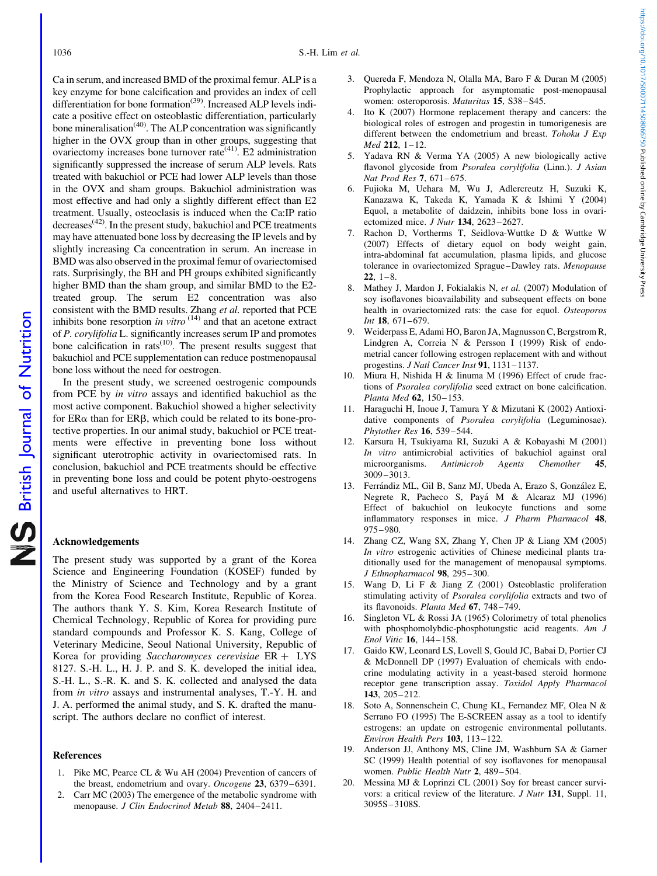Ca in serum, and increased BMD of the proximal femur. ALP is a key enzyme for bone calcification and provides an index of cell differentiation for bone formation<sup>(39)</sup>. Increased ALP levels indicate a positive effect on osteoblastic differentiation, particularly bone mineralisation<sup> $(40)$ </sup>. The ALP concentration was significantly higher in the OVX group than in other groups, suggesting that ovariectomy increases bone turnover rate<sup>(41)</sup>. E2 administration significantly suppressed the increase of serum ALP levels. Rats treated with bakuchiol or PCE had lower ALP levels than those in the OVX and sham groups. Bakuchiol administration was most effective and had only a slightly different effect than E2 treatment. Usually, osteoclasis is induced when the Ca:IP ratio decreases<sup>(42)</sup>. In the present study, bakuchiol and PCE treatments may have attenuated bone loss by decreasing the IP levels and by slightly increasing Ca concentration in serum. An increase in BMD was also observed in the proximal femur of ovariectomised rats. Surprisingly, the BH and PH groups exhibited significantly higher BMD than the sham group, and similar BMD to the E2 treated group. The serum E2 concentration was also consistent with the BMD results. Zhang et al. reported that PCE inhibits bone resorption in vitro  $(14)$  and that an acetone extract of P. corylifolia L. significantly increases serum IP and promotes bone calcification in rats<sup> $(10)$ </sup>. The present results suggest that bakuchiol and PCE supplementation can reduce postmenopausal bone loss without the need for oestrogen.

In the present study, we screened oestrogenic compounds from PCE by in vitro assays and identified bakuchiol as the most active component. Bakuchiol showed a higher selectivity for  $ER\alpha$  than for  $ER\beta$ , which could be related to its bone-protective properties. In our animal study, bakuchiol or PCE treatments were effective in preventing bone loss without significant uterotrophic activity in ovariectomised rats. In conclusion, bakuchiol and PCE treatments should be effective in preventing bone loss and could be potent phyto-oestrogens and useful alternatives to HRT.

#### Acknowledgements

The present study was supported by a grant of the Korea Science and Engineering Foundation (KOSEF) funded by the Ministry of Science and Technology and by a grant from the Korea Food Research Institute, Republic of Korea. The authors thank Y. S. Kim, Korea Research Institute of Chemical Technology, Republic of Korea for providing pure standard compounds and Professor K. S. Kang, College of Veterinary Medicine, Seoul National University, Republic of Korea for providing Saccharomyces cerevisiae  $ER + LYS$ 8127. S.-H. L., H. J. P. and S. K. developed the initial idea, S.-H. L., S.-R. K. and S. K. collected and analysed the data from in vitro assays and instrumental analyses, T.-Y. H. and J. A. performed the animal study, and S. K. drafted the manuscript. The authors declare no conflict of interest.

#### References

- 1. Pike MC, Pearce CL & Wu AH (2004) Prevention of cancers of the breast, endometrium and ovary. Oncogene 23, 6379–6391.
- 2. Carr MC (2003) The emergence of the metabolic syndrome with menopause. J Clin Endocrinol Metab 88, 2404-2411.
- 3. Quereda F, Mendoza N, Olalla MA, Baro F & Duran M (2005) Prophylactic approach for asymptomatic post-menopausal women: osteroporosis. Maturitas 15, S38-S45.
- 4. Ito K (2007) Hormone replacement therapy and cancers: the biological roles of estrogen and progestin in tumorigenesis are different between the endometrium and breast. Tohoku J Exp Med 212, 1-12.
- 5. Yadava RN & Verma YA (2005) A new biologically active flavonol glycoside from Psoralea corylifolia (Linn.). J Asian Nat Prod Res 7, 671-675.
- 6. Fujioka M, Uehara M, Wu J, Adlercreutz H, Suzuki K, Kanazawa K, Takeda K, Yamada K & Ishimi Y (2004) Equol, a metabolite of daidzein, inhibits bone loss in ovariectomized mice. J Nutr 134, 2623 – 2627.
- 7. Rachon D, Vortherms T, Seidlova-Wuttke D & Wuttke W (2007) Effects of dietary equol on body weight gain, intra-abdominal fat accumulation, plasma lipids, and glucose tolerance in ovariectomized Sprague –Dawley rats. Menopause  $22.1 - 8.$
- 8. Mathey J, Mardon J, Fokialakis N, et al. (2007) Modulation of soy isoflavones bioavailability and subsequent effects on bone health in ovariectomized rats: the case for equol. Osteoporos  $Int 18, 671 - 679.$
- 9. Weiderpass E, Adami HO, Baron JA, Magnusson C, Bergstrom R, Lindgren A, Correia N & Persson I (1999) Risk of endometrial cancer following estrogen replacement with and without progestins. J Natl Cancer Inst 91, 1131-1137.
- 10. Miura H, Nishida H & Iinuma M (1996) Effect of crude fractions of Psoralea corylifolia seed extract on bone calcification. Planta Med 62, 150-153.
- 11. Haraguchi H, Inoue J, Tamura Y & Mizutani K (2002) Antioxidative components of Psoralea corylifolia (Leguminosae). Phytother Res 16, 539 – 544.
- 12. Karsura H, Tsukiyama RI, Suzuki A & Kobayashi M (2001) In vitro antimicrobial activities of bakuchiol against oral microorganisms. Antimicrob Agents Chemother 45, 3009 –3013.
- 13. Ferrándiz ML, Gil B, Sanz MJ, Ubeda A, Erazo S, González E, Negrete R, Pacheco S, Payá M & Alcaraz MJ (1996) Effect of bakuchiol on leukocyte functions and some inflammatory responses in mice. J Pharm Pharmacol 48, 975 – 980.
- 14. Zhang CZ, Wang SX, Zhang Y, Chen JP & Liang XM (2005) In vitro estrogenic activities of Chinese medicinal plants traditionally used for the management of menopausal symptoms. J Ethnopharmacol 98, 295 –300.
- 15. Wang D, Li F & Jiang Z (2001) Osteoblastic proliferation stimulating activity of Psoralea corylifolia extracts and two of its flavonoids. Planta Med 67, 748-749.
- 16. Singleton VL & Rossi JA (1965) Colorimetry of total phenolics with phosphomolybdic-phosphotungstic acid reagents. Am J Enol Vitic 16, 144 –158.
- 17. Gaido KW, Leonard LS, Lovell S, Gould JC, Babai D, Portier CJ & McDonnell DP (1997) Evaluation of chemicals with endocrine modulating activity in a yeast-based steroid hormone receptor gene transcription assay. Toxidol Apply Pharmacol 143, 205 –212.
- 18. Soto A, Sonnenschein C, Chung KL, Fernandez MF, Olea N & Serrano FO (1995) The E-SCREEN assay as a tool to identify estrogens: an update on estrogenic environmental pollutants. Environ Health Pers 103, 113-122.
- 19. Anderson JJ, Anthony MS, Cline JM, Washburn SA & Garner SC (1999) Health potential of soy isoflavones for menopausal women. Public Health Nutr 2, 489-504.
- 20. Messina MJ & Loprinzi CL (2001) Soy for breast cancer survivors: a critical review of the literature. J Nutr 131, Suppl. 11, 3095S– 3108S.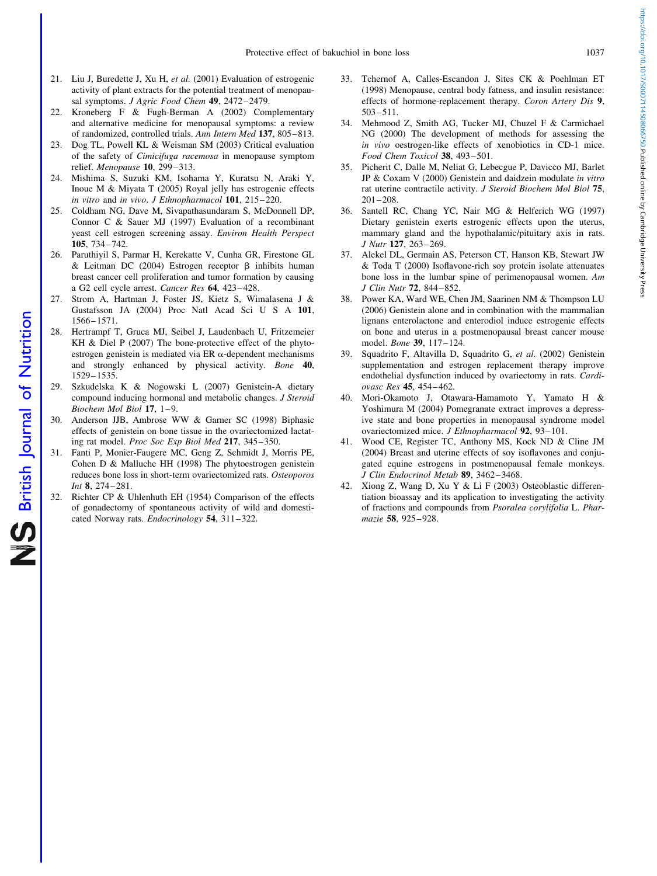- 21. Liu J, Buredette J, Xu H, et al. (2001) Evaluation of estrogenic activity of plant extracts for the potential treatment of menopausal symptoms. J Agric Food Chem 49, 2472-2479.
- 22. Kroneberg F & Fugh-Berman A (2002) Complementary and alternative medicine for menopausal symptoms: a review of randomized, controlled trials. Ann Intern Med 137, 805 –813.
- 23. Dog TL, Powell KL & Weisman SM (2003) Critical evaluation of the safety of Cimicifuga racemosa in menopause symptom relief. Menopause 10, 299 – 313.
- 24. Mishima S, Suzuki KM, Isohama Y, Kuratsu N, Araki Y, Inoue M & Miyata T (2005) Royal jelly has estrogenic effects in vitro and in vivo. J Ethnopharmacol 101, 215-220.
- 25. Coldham NG, Dave M, Sivapathasundaram S, McDonnell DP, Connor C & Sauer MJ (1997) Evaluation of a recombinant yeast cell estrogen screening assay. Environ Health Perspect 105, 734 – 742.
- 26. Paruthiyil S, Parmar H, Kerekatte V, Cunha GR, Firestone GL  $&$  Leitman DC (2004) Estrogen receptor  $&$  inhibits human breast cancer cell proliferation and tumor formation by causing a G2 cell cycle arrest. Cancer Res 64, 423 – 428.
- 27. Strom A, Hartman J, Foster JS, Kietz S, Wimalasena J & Gustafsson JA (2004) Proc Natl Acad Sci U S A 101, 1566 – 1571.
- 28. Hertrampf T, Gruca MJ, Seibel J, Laudenbach U, Fritzemeier KH & Diel P (2007) The bone-protective effect of the phytoestrogen genistein is mediated via ER  $\alpha$ -dependent mechanisms and strongly enhanced by physical activity. Bone 40, 1529 – 1535.
- 29. Szkudelska K & Nogowski L (2007) Genistein-A dietary compound inducing hormonal and metabolic changes. J Steroid Biochem Mol Biol  $17, 1-9$ .
- 30. Anderson JJB, Ambrose WW & Garner SC (1998) Biphasic effects of genistein on bone tissue in the ovariectomized lactating rat model. Proc Soc Exp Biol Med 217, 345 – 350.
- 31. Fanti P, Monier-Faugere MC, Geng Z, Schmidt J, Morris PE, Cohen D & Malluche HH (1998) The phytoestrogen genistein reduces bone loss in short-term ovariectomized rats. Osteoporos Int 8, 274 –281.
- 32. Richter CP & Uhlenhuth EH (1954) Comparison of the effects of gonadectomy of spontaneous activity of wild and domesticated Norway rats. *Endocrinology* 54, 311-322.
- 33. Tchernof A, Calles-Escandon J, Sites CK & Poehlman ET (1998) Menopause, central body fatness, and insulin resistance: effects of hormone-replacement therapy. Coron Artery Dis 9, 503 –511.
- 34. Mehmood Z, Smith AG, Tucker MJ, Chuzel F & Carmichael NG (2000) The development of methods for assessing the in vivo oestrogen-like effects of xenobiotics in CD-1 mice. Food Chem Toxicol 38, 493-501.
- 35. Picherit C, Dalle M, Neliat G, Lebecgue P, Davicco MJ, Barlet JP & Coxam V (2000) Genistein and daidzein modulate in vitro rat uterine contractile activity. J Steroid Biochem Mol Biol 75,  $201 - 208$ .
- 36. Santell RC, Chang YC, Nair MG & Helferich WG (1997) Dietary genistein exerts estrogenic effects upon the uterus, mammary gland and the hypothalamic/pituitary axis in rats. J Nutr 127, 263 –269.
- 37. Alekel DL, Germain AS, Peterson CT, Hanson KB, Stewart JW & Toda T (2000) Isoflavone-rich soy protein isolate attenuates bone loss in the lumbar spine of perimenopausal women. Am J Clin Nutr 72, 844 –852.
- 38. Power KA, Ward WE, Chen JM, Saarinen NM & Thompson LU (2006) Genistein alone and in combination with the mammalian lignans enterolactone and enterodiol induce estrogenic effects on bone and uterus in a postmenopausal breast cancer mouse model. Bone 39, 117-124.
- 39. Squadrito F, Altavilla D, Squadrito G, et al. (2002) Genistein supplementation and estrogen replacement therapy improve endothelial dysfunction induced by ovariectomy in rats. Cardiovasc Res 45, 454 – 462.
- 40. Mori-Okamoto J, Otawara-Hamamoto Y, Yamato H & Yoshimura M (2004) Pomegranate extract improves a depressive state and bone properties in menopausal syndrome model ovariectomized mice. J Ethnopharmacol 92, 93-101.
- 41. Wood CE, Register TC, Anthony MS, Kock ND & Cline JM (2004) Breast and uterine effects of soy isoflavones and conjugated equine estrogens in postmenopausal female monkeys. J Clin Endocrinol Metab 89, 3462-3468.
- 42. Xiong Z, Wang D, Xu Y & Li F (2003) Osteoblastic differentiation bioassay and its application to investigating the activity of fractions and compounds from Psoralea corylifolia L. Pharmazie 58, 925-928.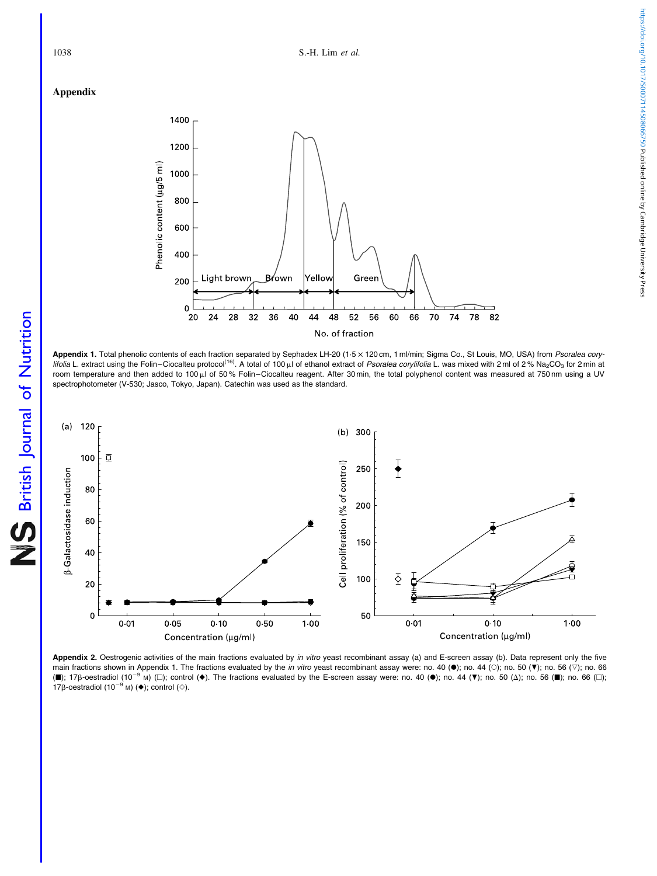1038 S.-H. Lim et al.

# Appendix



Appendix 1. Total phenolic contents of each fraction separated by Sephadex LH-20 (1.5 x 120 cm, 1 ml/min; Sigma Co., St Louis, MO, USA) from Psoralea corylifolia L. extract using the Folin–Ciocalteu protocol<sup>(16)</sup>. A total of 100  $\mu$ l of ethanol extract of Psoralea corylifolia L. was mixed with 2 ml of 2% Na<sub>2</sub>CO<sub>3</sub> for 2 min at room temperature and then added to 100 µl of 50% Folin–Ciocalteu reagent. After 30 min, the total polyphenol content was measured at 750 nm using a UV spectrophotometer (V-530; Jasco, Tokyo, Japan). Catechin was used as the standard.



Appendix 2. Oestrogenic activities of the main fractions evaluated by in vitro yeast recombinant assay (a) and E-screen assay (b). Data represent only the five main fractions shown in Appendix 1. The fractions evaluated by the in vitro yeast recombinant assay were: no. 40 ( $\bullet$ ); no. 44 ( $\circ$ ); no. 50 ( $\nabla$ ); no. 56 ( $\triangledown$ ); no. 66 (B); 17 $\beta$ -oestradiol (10<sup>-9</sup> M) ( $\square$ ); control ( $\blacklozenge$ ). The fractions evaluated by the E-screen assay were: no. 40 ( $\blacklozenge$ ); no. 44 ( $\nabla$ ); no. 50 ( $\triangle$ ); no. 56 ( $\square$ ); no. 66 ( $\square$ ); 17 $\beta$ -oestradiol (10<sup>-9</sup> M) ( $\blacklozenge$ ); control ( $\diamond$ ).

British Journal of Nutrition

NS British Journal of Nutrition